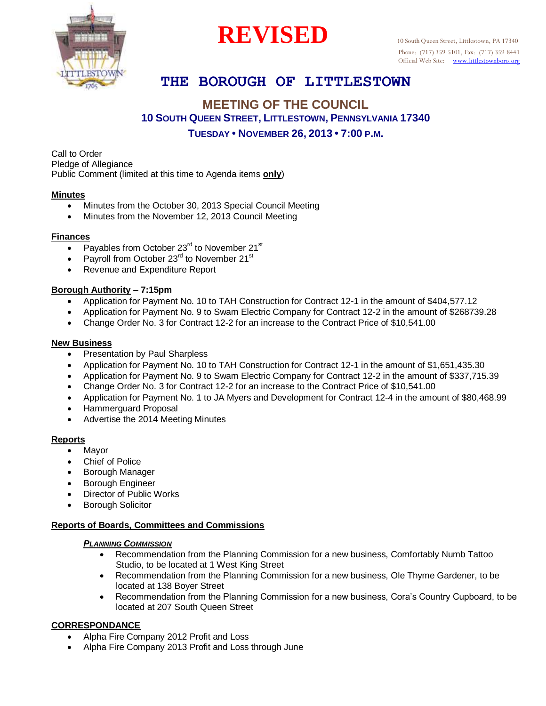

# **REVISED** 10 South Queen Street, Littlestown, PA 17340

# **THE BOROUGH OF LITTLESTOWN**

## **MEETING OF THE COUNCIL 10 SOUTH QUEEN STREET, LITTLESTOWN, PENNSYLVANIA 17340 TUESDAY • NOVEMBER 26, 2013 • 7:00 P.M.**

Call to Order Pledge of Allegiance Public Comment (limited at this time to Agenda items **only**)

## **Minutes**

T

- Minutes from the October 30, 2013 Special Council Meeting
- Minutes from the November 12, 2013 Council Meeting

#### **Finances**

- $\overline{\bullet}$  Payables from October 23<sup>rd</sup> to November 21<sup>st</sup>
- Payroll from October  $23<sup>rd</sup>$  to November 21<sup>st</sup>
- Revenue and Expenditure Report

## **Borough Authority – 7:15pm**

- Application for Payment No. 10 to TAH Construction for Contract 12-1 in the amount of \$404,577.12
- Application for Payment No. 9 to Swam Electric Company for Contract 12-2 in the amount of \$268739.28
- Change Order No. 3 for Contract 12-2 for an increase to the Contract Price of \$10,541.00

#### **New Business**

- Presentation by Paul Sharpless
- Application for Payment No. 10 to TAH Construction for Contract 12-1 in the amount of \$1,651,435.30
- Application for Payment No. 9 to Swam Electric Company for Contract 12-2 in the amount of \$337,715.39
- Change Order No. 3 for Contract 12-2 for an increase to the Contract Price of \$10,541.00
- Application for Payment No. 1 to JA Myers and Development for Contract 12-4 in the amount of \$80,468.99
- Hammerguard Proposal
- Advertise the 2014 Meeting Minutes

## **Reports**

- Mayor
- Chief of Police
- Borough Manager
- Borough Engineer
- Director of Public Works
- Borough Solicitor

## **Reports of Boards, Committees and Commissions**

#### *PLANNING COMMISSION*

- Recommendation from the Planning Commission for a new business, Comfortably Numb Tattoo Studio, to be located at 1 West King Street
- Recommendation from the Planning Commission for a new business, Ole Thyme Gardener, to be located at 138 Boyer Street
- Recommendation from the Planning Commission for a new business, Cora's Country Cupboard, to be located at 207 South Queen Street

## **CORRESPONDANCE**

- Alpha Fire Company 2012 Profit and Loss
- Alpha Fire Company 2013 Profit and Loss through June